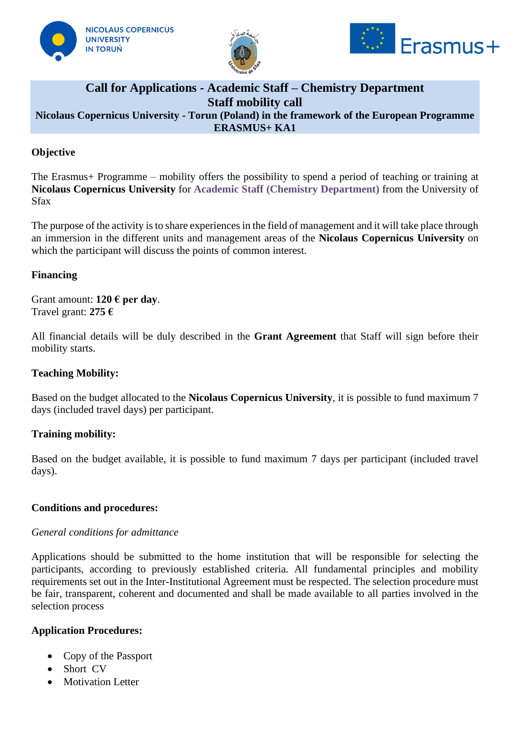





## **Call for Applications - Academic Staff – Chemistry Department Staff mobility call Nicolaus Copernicus University - Torun (Poland) in the framework of the European Programme ERASMUS+ KA1**

## **Objective**

The Erasmus+ Programme – mobility offers the possibility to spend a period of teaching or training at **Nicolaus Copernicus University** for **Academic Staff (Chemistry Department)** from the University of Sfax

The purpose of the activity is to share experiences in the field of management and it will take place through an immersion in the different units and management areas of the **Nicolaus Copernicus University** on which the participant will discuss the points of common interest.

### **Financing**

Grant amount: **120 € per day**. Travel grant: **275 €**

All financial details will be duly described in the **Grant Agreement** that Staff will sign before their mobility starts.

#### **Teaching Mobility:**

Based on the budget allocated to the **Nicolaus Copernicus University**, it is possible to fund maximum 7 days (included travel days) per participant.

#### **Training mobility:**

Based on the budget available, it is possible to fund maximum 7 days per participant (included travel days).

#### **Conditions and procedures:**

#### *General conditions for admittance*

Applications should be submitted to the home institution that will be responsible for selecting the participants, according to previously established criteria. All fundamental principles and mobility requirements set out in the Inter-Institutional Agreement must be respected. The selection procedure must be fair, transparent, coherent and documented and shall be made available to all parties involved in the selection process

#### **Application Procedures:**

- Copy of the Passport
- Short CV
- Motivation Letter